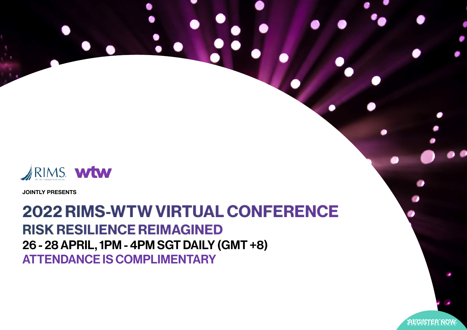

**JOINTLY PRESENTS**

2022 RIMS-WTW VIRTUAL CONFERENCE RISK RESILIENCE REIMAGINED 26 - 28 APRIL, 1PM - 4PM SGT DAILY (GMT +8) ATTENDANCE IS COMPLIMENTARY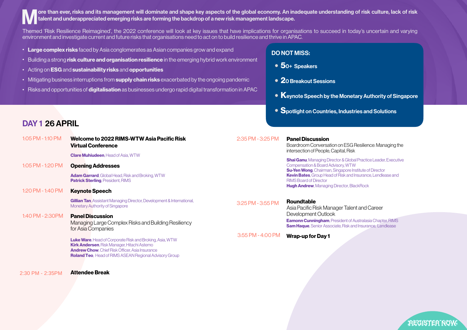ore than ever, risks and its management will dominate and shape key aspects of the global economy. An inadequate understanding of risk culture, lack of risk talent and underappreciated emerging risks are forming the backdrop of a new risk management landscape.

Themed 'Risk Resilience Reimagined', the 2022 conference will look at key issues that have implications for organisations to succeed in today's uncertain and varying environment and investigate current and future risks that organisations need to act on to build resilience and thrive in APAC.

- Large complex risks faced by Asia conglomerates as Asian companies grow and expand
- Building a strong risk culture and organisation resilience in the emerging hybrid work environment
- Acting on ESG and sustainability risks and opportunities
- Mitigating business interruptions from supply chain risks exacerbated by the ongoing pandemic
- Risks and opportunities of digitalisation as businesses undergo rapid digital transformation in APAC

## DO NOT MISS:

- 50+ Speakers
- 20 Breakout Sessions
- Keynote Speech by the Monetary Authority of Singapore
- Spotlight on Countries, Industries and Solutions

# DAY 1 26 APRIL

| 1:05 PM - 1:10 PM                      | Welcome to 2022 RIMS-WTW Asia Pacific Risk<br><b>Virtual Conference</b>                                                                                                                                                                                                                                                  | 2:35 PM - 3:25 PM | <b>Panel Discussion</b><br>Boardroom Conversation on ESG Resilience: Managing the<br>intersection of People, Capital, Risk                                                                                                                                                                                                                      |
|----------------------------------------|--------------------------------------------------------------------------------------------------------------------------------------------------------------------------------------------------------------------------------------------------------------------------------------------------------------------------|-------------------|-------------------------------------------------------------------------------------------------------------------------------------------------------------------------------------------------------------------------------------------------------------------------------------------------------------------------------------------------|
| 1:05 PM - 1:20 PM<br>1:20 PM - 1:40 PM | <b>Clare Muhiudeen</b> , Head of Asia, WTW<br><b>Opening Addresses</b><br><b>Adam Garrard</b> , Global Head, Risk and Broking, WTW<br><b>Patrick Sterling, President, RIMS</b><br><b>Keynote Speech</b>                                                                                                                  |                   | <b>Shai Ganu, Managing Director &amp; Global Practice Leader, Executive</b><br>Compensation & Board Advisory, WTW<br><b>Su-Yen Wong, Chairman, Singapore Institute of Director</b><br><b>Kevin Bates</b> , Group Head of Risk and Insurance, Lendlease and<br><b>RIMS Board of Director</b><br><b>Hugh Andrew, Managing Director, BlackRock</b> |
| 1:40 PM - 2:30 PM                      | <b>Gillian Tan, Assistant Managing Director, Development &amp; International,</b><br>Monetary Authority of Singapore<br><b>Panel Discussion</b>                                                                                                                                                                          | 3:25 PM - 3:55 PM | <b>Roundtable</b><br>Asia Pacific Risk Manager Talent and Career<br>Development Outlook                                                                                                                                                                                                                                                         |
|                                        | Managing Large Complex Risks and Building Resiliency<br>for Asia Companies<br><b>Luke Ware, Head of Corporate Risk and Broking, Asia, WTW</b><br>Kirk Andersen, Risk Manager, Hitachi Astemo<br><b>Andrew Chow</b> , Chief Risk Officer, Asia Insurance<br><b>Roland Teo.</b> Head of RIMS ASEAN Regional Advisory Group | 3:55 PM - 4:00 PM | <b>Eamonn Cunningham</b> , President of Australasia Chapter, RIMS<br><b>Sam Haque</b> , Senior Associate, Risk and Insurance, Lendlease<br><b>Wrap-up for Day 1</b>                                                                                                                                                                             |
|                                        |                                                                                                                                                                                                                                                                                                                          |                   |                                                                                                                                                                                                                                                                                                                                                 |

2:30 PM - 2:35PM Attendee Break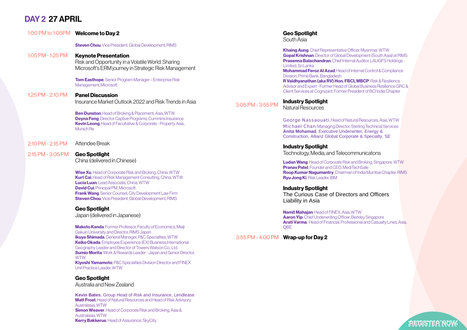# DAY 2 27 APRIL

1:00 PM to 1:05PM to 1:05PM

|                   | 1:00 PM to 1:05PM Welcome to Day 2                                                                                                                                                                                                                                                                                                                          |                   |
|-------------------|-------------------------------------------------------------------------------------------------------------------------------------------------------------------------------------------------------------------------------------------------------------------------------------------------------------------------------------------------------------|-------------------|
|                   | <b>Steven Chou</b> , Vice President, Global Development, RIMS                                                                                                                                                                                                                                                                                               |                   |
| 1:05 PM - 1:25 PM | <b>Keynote Presentation</b><br>Risk and Opportunity in a Volatile World: Sharing<br>Microsoft's ERM journey in Strategic Risk Management                                                                                                                                                                                                                    |                   |
|                   | <b>Tom Easthope, Senior Program Manager - Enterprise Risk</b><br>Management, Microsoft                                                                                                                                                                                                                                                                      |                   |
| 1:25 PM - 2:10 PM | <b>Panel Discussion</b><br>Insurance Market Outlook 2022 and Risk Trends in Asia                                                                                                                                                                                                                                                                            | 3:05 PM - 3:55 PM |
|                   | <b>Ben Dunston</b> , Head of Broking & Placement, Asia, WTW<br><b>Deyna Feng.</b> Director Captive Programs, Cummins Insurance<br><b>Kevin Leong.</b> Head of Facultative & Corporate - Property Asia,<br>Munich Re                                                                                                                                         |                   |
| 2:10 PM - 2:15 PM | Attendee Break                                                                                                                                                                                                                                                                                                                                              |                   |
| 2:15 PM - 3:05 PM | <b>Geo Spotlight</b><br>China (delivered in Chinese)                                                                                                                                                                                                                                                                                                        |                   |
|                   | Wise Xu, Head of Corporate Risk and Broking, China, WTW<br><b>Kurt Cai</b> , Head of Risk Management Consulting, China, WTW<br><b>Lucia Luan, Lead Associate, China, WTW</b><br><b>David Cui</b> , Principal PM, Microsoft<br><b>Frank Wang, Senior Counsel, City Development Law Firm</b><br><b>Steven Chou</b> , Vice President, Global Development, RIMS |                   |
|                   | <b>Geo Spotlight</b><br>Japan (delivered in Japanese)                                                                                                                                                                                                                                                                                                       |                   |

**Makoto Kanda**, Former Professor, Faculty of Economics, Meiji Gakuin University and Director, RIMS Japan **Ikuya Shimada**, General Manager, P&C Specialties, WTW Keiko Okada, Employee Experience (EX) Business,International Geography Leader and Director of Towers Watson Co., Ltd. **Sumio Morita**, Work & Rewards Leader - Japan and Senior Director, **WTW** Kiyoshi Yamamoto, P&C Specialties Division Director and FINEX Unit Practice Leader, WTW

### Geo Spotlight

Australia and New Zealand

**Kevin Bates**, Group Head of Risk and Insurance, Lendlease **Matt Frost**, Head of Natural Resources and Head of Risk Advisory, Australasia, WTW **Simon Weaver**, Head of Corporate Risk and Broking, Asia & Australasia, WTW **Kerry Bakkerus**, Head of Assurance, SkyCity

### Geo Spotlight

South Asia

**Khaing Aung**, Chief Representative Officer, Myanmar, WTW Gopal Krishnan, Director of Global Development (South Asia) at RIMS Prasenna Balachandran, Chief Internal Auditor, LAUGFS Holdings **Limited Sri Lanka** 

Mohammad Feroz Al Azad, Head of Internal Control & Compliance Division, Prime Bank, Bangladesh

R Vaidhyanathan (aka RV) Hon. FBCI, MBCP, Risk & Resilience Advisor and Expert - Former Head of Global Business Resilience GRC & Client Services at Cognizant, Former President of BCI India Chapter

## Industry Spotlight

Natural Resources

George Nassaouati, Head of Natural Resources, Asia, WTW Michael Chan, Managing Director, Sterling Technical Services **Anita Mohamad**, Executive Underwriter, Energy & Construction, Allianz Global Corporate & Specialty, SE

### Industry Spotlight

Technology, Media, and Telecommunicatons

Ludan Wang, Head of Corporate Risk and Broking, Singapore, WTW **Pranav Patel**, Founder and CEO, MediTechSafe Roop Kumar Nagumantry, Chairman of India Mumbai Chapter, RIMS Ryu Jong Ki, Risk Leader, IBM

### Industry Spotlight

The Curious Case of Directors and Officers Liability in Asia

Namit Mahajan, Head of FINEX, Asia, WTW Aaron Yip, Chief Underwriting Officer, Berkley Singapore **Arati Varma**, Head of Financial, Professional and Casualty Lines, Asia, **QBE** 

3:55 PM - 4:00 PM Wrap-up for Day 2